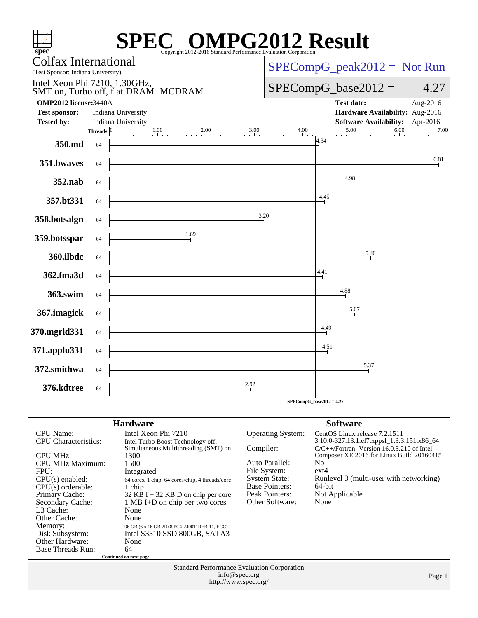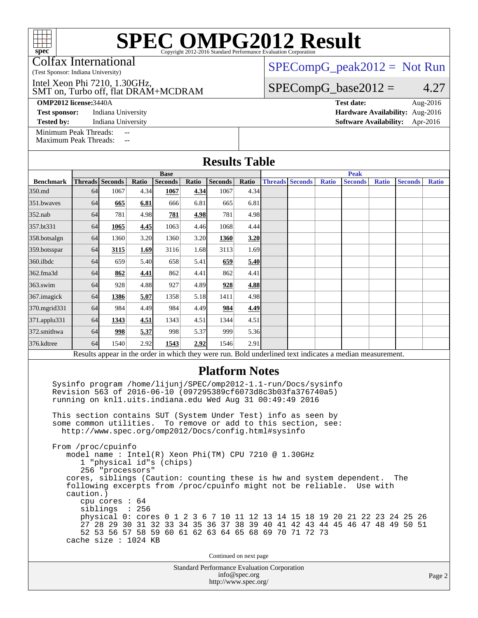Colfax International

(Test Sponsor: Indiana University)

SMT on, Turbo off, flat DRAM+MCDRAM Intel Xeon Phi 7210, 1.30GHz,

**[OMP2012 license:](http://www.spec.org/auto/omp2012/Docs/result-fields.html#OMP2012license)**3440A **[Test date:](http://www.spec.org/auto/omp2012/Docs/result-fields.html#Testdate)** Aug-2016

**[Tested by:](http://www.spec.org/auto/omp2012/Docs/result-fields.html#Testedby)** Indiana University **[Software Availability:](http://www.spec.org/auto/omp2012/Docs/result-fields.html#SoftwareAvailability)** Apr-2016

[Minimum Peak Threads:](http://www.spec.org/auto/omp2012/Docs/result-fields.html#MinimumPeakThreads) --<br>Maximum Peak Threads: --

[Maximum Peak Threads:](http://www.spec.org/auto/omp2012/Docs/result-fields.html#MaximumPeakThreads)

[SPECompG\\_peak2012 =](http://www.spec.org/auto/omp2012/Docs/result-fields.html#SPECompGpeak2012) Not Run

 $SPECompG_base2012 = 4.27$  $SPECompG_base2012 = 4.27$ 

**[Test sponsor:](http://www.spec.org/auto/omp2012/Docs/result-fields.html#Testsponsor)** Indiana University **[Hardware Availability:](http://www.spec.org/auto/omp2012/Docs/result-fields.html#HardwareAvailability)** Aug-2016

| <b>Results Table</b>                                                                                     |           |                                                                                                                                                                                                                                                                                                                                                 |       |                |       |         |       |  |                                        |              |                                                                                                                                                                                                                                                                                                           |              |                |              |
|----------------------------------------------------------------------------------------------------------|-----------|-------------------------------------------------------------------------------------------------------------------------------------------------------------------------------------------------------------------------------------------------------------------------------------------------------------------------------------------------|-------|----------------|-------|---------|-------|--|----------------------------------------|--------------|-----------------------------------------------------------------------------------------------------------------------------------------------------------------------------------------------------------------------------------------------------------------------------------------------------------|--------------|----------------|--------------|
|                                                                                                          |           |                                                                                                                                                                                                                                                                                                                                                 |       | <b>Base</b>    |       |         |       |  |                                        |              | <b>Peak</b>                                                                                                                                                                                                                                                                                               |              |                |              |
| <b>Benchmark</b>                                                                                         |           | Threads Seconds                                                                                                                                                                                                                                                                                                                                 | Ratio | <b>Seconds</b> | Ratio | Seconds | Ratio |  | <b>Threads Seconds</b>                 | <b>Ratio</b> | <b>Seconds</b>                                                                                                                                                                                                                                                                                            | <b>Ratio</b> | <b>Seconds</b> | <b>Ratio</b> |
| 350.md                                                                                                   | 64        | 1067                                                                                                                                                                                                                                                                                                                                            | 4.34  | 1067           | 4.34  | 1067    | 4.34  |  |                                        |              |                                                                                                                                                                                                                                                                                                           |              |                |              |
| 351.bwaves                                                                                               | 64        | 665                                                                                                                                                                                                                                                                                                                                             | 6.81  | 666            | 6.81  | 665     | 6.81  |  |                                        |              |                                                                                                                                                                                                                                                                                                           |              |                |              |
| $352$ .nab                                                                                               | 64        | 781                                                                                                                                                                                                                                                                                                                                             | 4.98  | 781            | 4.98  | 781     | 4.98  |  |                                        |              |                                                                                                                                                                                                                                                                                                           |              |                |              |
| 357.bt331                                                                                                | 64        | 1065                                                                                                                                                                                                                                                                                                                                            | 4.45  | 1063           | 4.46  | 1068    | 4.44  |  |                                        |              |                                                                                                                                                                                                                                                                                                           |              |                |              |
| 358.botsalgn                                                                                             | 64        | 1360                                                                                                                                                                                                                                                                                                                                            | 3.20  | 1360           | 3.20  | 1360    | 3.20  |  |                                        |              |                                                                                                                                                                                                                                                                                                           |              |                |              |
| 359.botsspar                                                                                             | 64        | 3115                                                                                                                                                                                                                                                                                                                                            | 1.69  | 3116           | 1.68  | 3113    | 1.69  |  |                                        |              |                                                                                                                                                                                                                                                                                                           |              |                |              |
| 360.ilbdc                                                                                                | 64        | 659                                                                                                                                                                                                                                                                                                                                             | 5.40  | 658            | 5.41  | 659     | 5.40  |  |                                        |              |                                                                                                                                                                                                                                                                                                           |              |                |              |
| 362.fma3d                                                                                                | 64        | 862                                                                                                                                                                                                                                                                                                                                             | 4.41  | 862            | 4.41  | 862     | 4.41  |  |                                        |              |                                                                                                                                                                                                                                                                                                           |              |                |              |
| $363$ .swim                                                                                              | 64        | 928                                                                                                                                                                                                                                                                                                                                             | 4.88  | 927            | 4.89  | 928     | 4.88  |  |                                        |              |                                                                                                                                                                                                                                                                                                           |              |                |              |
| 367. imagick                                                                                             | 64        | 1386                                                                                                                                                                                                                                                                                                                                            | 5.07  | 1358           | 5.18  | 1411    | 4.98  |  |                                        |              |                                                                                                                                                                                                                                                                                                           |              |                |              |
| 370.mgrid331                                                                                             | 64        | 984                                                                                                                                                                                                                                                                                                                                             | 4.49  | 984            | 4.49  | 984     | 4.49  |  |                                        |              |                                                                                                                                                                                                                                                                                                           |              |                |              |
| 371.applu331                                                                                             | 64        | 1343                                                                                                                                                                                                                                                                                                                                            | 4.51  | 1343           | 4.51  | 1344    | 4.51  |  |                                        |              |                                                                                                                                                                                                                                                                                                           |              |                |              |
| 372.smithwa                                                                                              | 64        | 998                                                                                                                                                                                                                                                                                                                                             | 5.37  | 998            | 5.37  | 999     | 5.36  |  |                                        |              |                                                                                                                                                                                                                                                                                                           |              |                |              |
| 376.kdtree                                                                                               | 64        | 1540                                                                                                                                                                                                                                                                                                                                            | 2.92  | 1543           | 2.92  | 1546    | 2.91  |  |                                        |              |                                                                                                                                                                                                                                                                                                           |              |                |              |
| Results appear in the order in which they were run. Bold underlined text indicates a median measurement. |           |                                                                                                                                                                                                                                                                                                                                                 |       |                |       |         |       |  |                                        |              |                                                                                                                                                                                                                                                                                                           |              |                |              |
| <b>Platform Notes</b>                                                                                    |           |                                                                                                                                                                                                                                                                                                                                                 |       |                |       |         |       |  |                                        |              |                                                                                                                                                                                                                                                                                                           |              |                |              |
|                                                                                                          |           | Sysinfo program /home/lijunj/SPEC/omp2012-1.1-run/Docs/sysinfo<br>Revision 563 of 2016-06-10 (097295389cf6073d8c3b03fa376740a5)<br>running on knll.uits.indiana.edu Wed Aug 31 00:49:49 2016<br>This section contains SUT (System Under Test) info as seen by<br>some common utilities.<br>http://www.spec.org/omp2012/Docs/config.html#sysinfo |       |                |       |         |       |  | To remove or add to this section, see: |              |                                                                                                                                                                                                                                                                                                           |              |                |              |
|                                                                                                          | caution.) | From /proc/cpuinfo<br>model name: Intel(R) Xeon Phi(TM) CPU 7210 @ 1.30GHz<br>1 "physical id"s (chips)<br>256 "processors"<br>cpu cores $: 64$<br>siblings : 256<br>52 53 56 57 58 59 60 61 62 63 64 65 68 69 70 71 72 73<br>cache size : 1024 KB                                                                                               |       |                |       |         |       |  |                                        |              | cores, siblings (Caution: counting these is hw and system dependent.<br>following excerpts from /proc/cpuinfo might not be reliable. Use with<br>physical 0: cores 0 1 2 3 6 7 10 11 12 13 14 15 18 19 20 21 22 23 24 25 26<br>27 28 29 30 31 32 33 34 35 36 37 38 39 40 41 42 43 44 45 46 47 48 49 50 51 |              | The            |              |

Continued on next page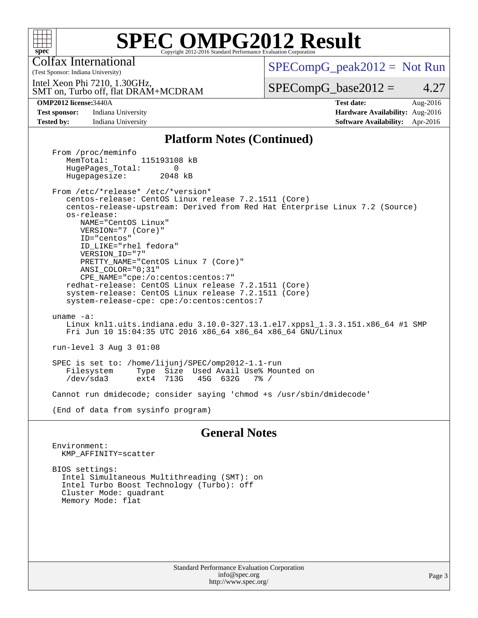

Colfax International

 $SPECompG_peak2012 = Not Run$  $SPECompG_peak2012 = Not Run$ 

SMT on, Turbo off, flat DRAM+MCDRAM Intel Xeon Phi 7210, 1.30GHz,

 $SPECompG_base2012 = 4.27$  $SPECompG_base2012 = 4.27$ 

(Test Sponsor: Indiana University)

**[Test sponsor:](http://www.spec.org/auto/omp2012/Docs/result-fields.html#Testsponsor)** Indiana University **[Hardware Availability:](http://www.spec.org/auto/omp2012/Docs/result-fields.html#HardwareAvailability)** Aug-2016 **[Tested by:](http://www.spec.org/auto/omp2012/Docs/result-fields.html#Testedby)** Indiana University **[Software Availability:](http://www.spec.org/auto/omp2012/Docs/result-fields.html#SoftwareAvailability)** Apr-2016

**[OMP2012 license:](http://www.spec.org/auto/omp2012/Docs/result-fields.html#OMP2012license)**3440A **[Test date:](http://www.spec.org/auto/omp2012/Docs/result-fields.html#Testdate)** Aug-2016

#### **[Platform Notes \(Continued\)](http://www.spec.org/auto/omp2012/Docs/result-fields.html#PlatformNotes)**

From /proc/meminfo<br>MemTotal: 115193108 kB HugePages\_Total: 0<br>Hugepagesize: 2048 kB Hugepagesize:

 From /etc/\*release\* /etc/\*version\* centos-release: CentOS Linux release 7.2.1511 (Core) centos-release-upstream: Derived from Red Hat Enterprise Linux 7.2 (Source) os-release: NAME="CentOS Linux" VERSION="7 (Core)" ID="centos" ID\_LIKE="rhel fedora" VERSION\_ID="7" PRETTY\_NAME="CentOS Linux 7 (Core)" ANSI\_COLOR="0;31" CPE\_NAME="cpe:/o:centos:centos:7"

 redhat-release: CentOS Linux release 7.2.1511 (Core) system-release: CentOS Linux release 7.2.1511 (Core) system-release-cpe: cpe:/o:centos:centos:7

 uname -a: Linux knl1.uits.indiana.edu 3.10.0-327.13.1.el7.xppsl\_1.3.3.151.x86\_64 #1 SMP Fri Jun 10 15:04:35 UTC 2016 x86\_64 x86\_64 x86\_64 GNU/Linux

run-level 3 Aug 3 01:08

 SPEC is set to: /home/lijunj/SPEC/omp2012-1.1-run Type Size Used Avail Use% Mounted on<br>ext4 713G 45G 632G 7% / /dev/sda3 ext4 713G 45G 632G 7% /

Cannot run dmidecode; consider saying 'chmod +s /usr/sbin/dmidecode'

(End of data from sysinfo program)

#### **[General Notes](http://www.spec.org/auto/omp2012/Docs/result-fields.html#GeneralNotes)**

 Environment: KMP\_AFFINITY=scatter

 BIOS settings: Intel Simultaneous Multithreading (SMT): on Intel Turbo Boost Technology (Turbo): off Cluster Mode: quadrant Memory Mode: flat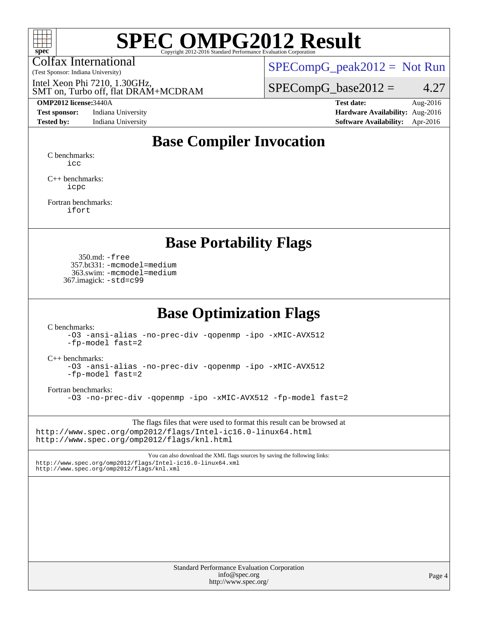

Colfax International

 $SPECompG_peak2012 = Not Run$  $SPECompG_peak2012 = Not Run$ 

SMT on, Turbo off, flat DRAM+MCDRAM Intel Xeon Phi 7210, 1.30GHz,

(Test Sponsor: Indiana University)

**[Test sponsor:](http://www.spec.org/auto/omp2012/Docs/result-fields.html#Testsponsor)** Indiana University **[Hardware Availability:](http://www.spec.org/auto/omp2012/Docs/result-fields.html#HardwareAvailability)** Aug-2016

 $SPECompG_base2012 = 4.27$  $SPECompG_base2012 = 4.27$ 

**[OMP2012 license:](http://www.spec.org/auto/omp2012/Docs/result-fields.html#OMP2012license)**3440A **[Test date:](http://www.spec.org/auto/omp2012/Docs/result-fields.html#Testdate)** Aug-2016 **[Tested by:](http://www.spec.org/auto/omp2012/Docs/result-fields.html#Testedby)** Indiana University **[Software Availability:](http://www.spec.org/auto/omp2012/Docs/result-fields.html#SoftwareAvailability)** Apr-2016

### **[Base Compiler Invocation](http://www.spec.org/auto/omp2012/Docs/result-fields.html#BaseCompilerInvocation)**

[C benchmarks](http://www.spec.org/auto/omp2012/Docs/result-fields.html#Cbenchmarks): [icc](http://www.spec.org/omp2012/results/res2016q4/omp2012-20161006-00082.flags.html#user_CCbase_intel_icc_a87c68a857bc5ec5362391a49d3a37a6)

[C++ benchmarks:](http://www.spec.org/auto/omp2012/Docs/result-fields.html#CXXbenchmarks) [icpc](http://www.spec.org/omp2012/results/res2016q4/omp2012-20161006-00082.flags.html#user_CXXbase_intel_icpc_2d899f8d163502b12eb4a60069f80c1c)

[Fortran benchmarks](http://www.spec.org/auto/omp2012/Docs/result-fields.html#Fortranbenchmarks): [ifort](http://www.spec.org/omp2012/results/res2016q4/omp2012-20161006-00082.flags.html#user_FCbase_intel_ifort_8a5e5e06b19a251bdeaf8fdab5d62f20)

#### **[Base Portability Flags](http://www.spec.org/auto/omp2012/Docs/result-fields.html#BasePortabilityFlags)**

 350.md: [-free](http://www.spec.org/omp2012/results/res2016q4/omp2012-20161006-00082.flags.html#user_baseFPORTABILITY350_md_f-FR_e51be0673775d2012b3310fa5323f530) 357.bt331: [-mcmodel=medium](http://www.spec.org/omp2012/results/res2016q4/omp2012-20161006-00082.flags.html#user_baseFPORTABILITY357_bt331_f-mcmodel_3a41622424bdd074c4f0f2d2f224c7e5) 363.swim: [-mcmodel=medium](http://www.spec.org/omp2012/results/res2016q4/omp2012-20161006-00082.flags.html#user_baseFPORTABILITY363_swim_f-mcmodel_3a41622424bdd074c4f0f2d2f224c7e5) 367.imagick: [-std=c99](http://www.spec.org/omp2012/results/res2016q4/omp2012-20161006-00082.flags.html#user_baseCPORTABILITY367_imagick_f-std_2ec6533b6e06f1c4a6c9b78d9e9cde24)

#### **[Base Optimization Flags](http://www.spec.org/auto/omp2012/Docs/result-fields.html#BaseOptimizationFlags)**

[C benchmarks](http://www.spec.org/auto/omp2012/Docs/result-fields.html#Cbenchmarks):

[-O3](http://www.spec.org/omp2012/results/res2016q4/omp2012-20161006-00082.flags.html#user_CCbase_f-O3) [-ansi-alias](http://www.spec.org/omp2012/results/res2016q4/omp2012-20161006-00082.flags.html#user_CCbase_f-ansi-alias) [-no-prec-div](http://www.spec.org/omp2012/results/res2016q4/omp2012-20161006-00082.flags.html#user_CCbase_f-no-prec-div) [-qopenmp](http://www.spec.org/omp2012/results/res2016q4/omp2012-20161006-00082.flags.html#user_CCbase_f-qopenmp) [-ipo](http://www.spec.org/omp2012/results/res2016q4/omp2012-20161006-00082.flags.html#user_CCbase_f-ipo) [-xMIC-AVX512](http://www.spec.org/omp2012/results/res2016q4/omp2012-20161006-00082.flags.html#user_CCbase_f-xMIC-AVX512) [-fp-model fast=2](http://www.spec.org/omp2012/results/res2016q4/omp2012-20161006-00082.flags.html#user_CCbase_f-fp-model_a7fb8ccb7275e23f0079632c153cfcab)

[C++ benchmarks:](http://www.spec.org/auto/omp2012/Docs/result-fields.html#CXXbenchmarks)

[-O3](http://www.spec.org/omp2012/results/res2016q4/omp2012-20161006-00082.flags.html#user_CXXbase_f-O3) [-ansi-alias](http://www.spec.org/omp2012/results/res2016q4/omp2012-20161006-00082.flags.html#user_CXXbase_f-ansi-alias) [-no-prec-div](http://www.spec.org/omp2012/results/res2016q4/omp2012-20161006-00082.flags.html#user_CXXbase_f-no-prec-div) [-qopenmp](http://www.spec.org/omp2012/results/res2016q4/omp2012-20161006-00082.flags.html#user_CXXbase_f-qopenmp) [-ipo](http://www.spec.org/omp2012/results/res2016q4/omp2012-20161006-00082.flags.html#user_CXXbase_f-ipo) [-xMIC-AVX512](http://www.spec.org/omp2012/results/res2016q4/omp2012-20161006-00082.flags.html#user_CXXbase_f-xMIC-AVX512) [-fp-model fast=2](http://www.spec.org/omp2012/results/res2016q4/omp2012-20161006-00082.flags.html#user_CXXbase_f-fp-model_a7fb8ccb7275e23f0079632c153cfcab)

[Fortran benchmarks](http://www.spec.org/auto/omp2012/Docs/result-fields.html#Fortranbenchmarks):

[-O3](http://www.spec.org/omp2012/results/res2016q4/omp2012-20161006-00082.flags.html#user_FCbase_f-O3) [-no-prec-div](http://www.spec.org/omp2012/results/res2016q4/omp2012-20161006-00082.flags.html#user_FCbase_f-no-prec-div) [-qopenmp](http://www.spec.org/omp2012/results/res2016q4/omp2012-20161006-00082.flags.html#user_FCbase_f-qopenmp) [-ipo](http://www.spec.org/omp2012/results/res2016q4/omp2012-20161006-00082.flags.html#user_FCbase_f-ipo) [-xMIC-AVX512](http://www.spec.org/omp2012/results/res2016q4/omp2012-20161006-00082.flags.html#user_FCbase_f-xMIC-AVX512) [-fp-model fast=2](http://www.spec.org/omp2012/results/res2016q4/omp2012-20161006-00082.flags.html#user_FCbase_f-fp-model_a7fb8ccb7275e23f0079632c153cfcab)

The flags files that were used to format this result can be browsed at <http://www.spec.org/omp2012/flags/Intel-ic16.0-linux64.html> <http://www.spec.org/omp2012/flags/knl.html>

You can also download the XML flags sources by saving the following links: <http://www.spec.org/omp2012/flags/Intel-ic16.0-linux64.xml> <http://www.spec.org/omp2012/flags/knl.xml>